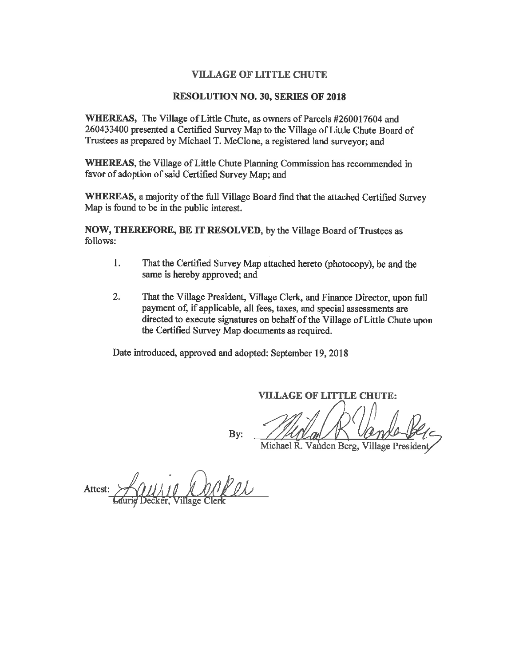#### **VILLAGE OF LITTLE CHUTE**

#### **RESOLUTION NO. 30, SERIES OF 2018**

WHEREAS, The Village of Little Chute, as owners of Parcels #260017604 and 260433400 presented a Certified Survey Map to the Village of Little Chute Board of Trustees as prepared by Michael T. McClone, a registered land surveyor; and

WHEREAS, the Village of Little Chute Planning Commission has recommended in favor of adoption of said Certified Survey Map; and

WHEREAS, a majority of the full Village Board find that the attached Certified Survey Map is found to be in the public interest.

NOW, THEREFORE, BE IT RESOLVED, by the Village Board of Trustees as follows:

- 1. That the Certified Survey Map attached hereto (photocopy), be and the same is hereby approved; and
- $2.$ That the Village President, Village Clerk, and Finance Director, upon full payment of, if applicable, all fees, taxes, and special assessments are directed to execute signatures on behalf of the Village of Little Chute upon the Certified Survey Map documents as required.

Date introduced, approved and adopted: September 19, 2018

**VILLAGE OF LITTLE CHUTE:** 

By:

Michael R. Vanden Berg, Village President

Attest: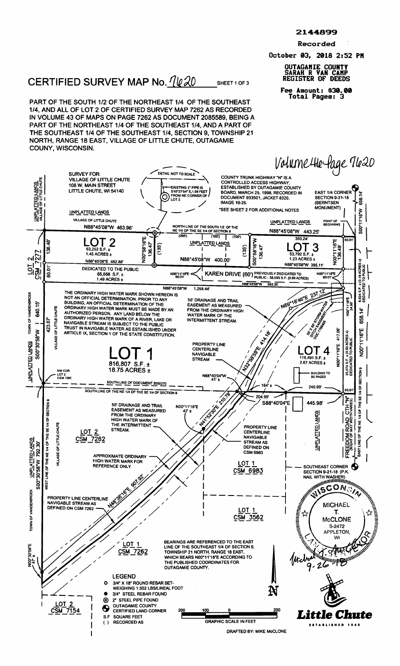Recorded

October 03, <sup>2018</sup> 2:52 PM

## OUTAGAMIE COUNTY SARAH R VAN CAMP

SHEET <sup>1</sup> OF 3

Fee Amount: 830.00 Total Pages: <sup>3</sup>

# CERTIFIED SURVEY MAP No.  $\frac{\eta \psi \chi_0}{\psi \chi_0}$  sheet 1 of 3

PART OF THE SOUTH 1/2 OF THE NORTHEAST 1/4 OF THE SOUTHEAST 1/4, AND ALL OF LOT <sup>2</sup> OF CERTIFIED SURVEY MAP <sup>7262</sup> AS RECORDED IN VOLUME 43 OF MAPS ON PAGE 7262 AS DOCUMENT 2085589, BEING A PART OF THE NORTHEAST 1/4 OF THE SOUTHEAST 1/4, AND A PART OF THE SOUTHEAST 1/4 OF THE SOUTHEAST 1/4, SECTION 9, TOWNSHIP <sup>21</sup> NORTH, RANGE 18 EAST, VILLAGE OF LITTLE CHUTE, OUTAGAMIE COUNY, WISCONSIN.

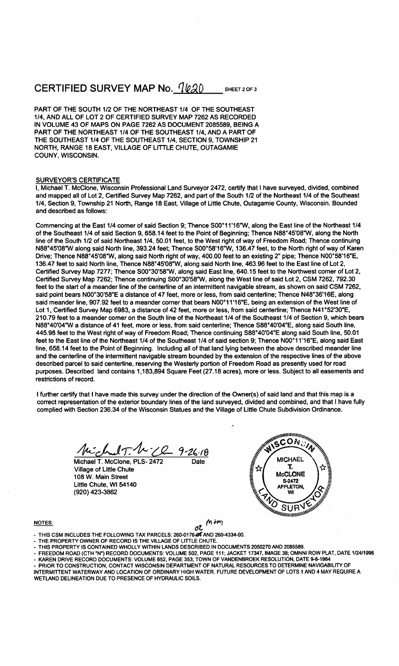# CERTIFIED SURVEY MAP No.  $7620$

SHEET 2 OF 3

PART OF THE SOUTH 1/2 OF THE NORTHEAST 1/4 OF THE SOUTHEAST 1/4, AND ALL OF LOT <sup>2</sup> OF CERTIFIED SURVEY MAP <sup>7262</sup> AS RECORDED IN VOLUME 43 OF MAPS ON PAGE 7262 AS DOCUMENT 2085589, BEING A PART OF THE NORTHEAST 1/4 OF THE SOUTHEAST 1/4, AND A PART OF THE SOUTHEAST 1/4 OF THE SOUTHEAST 1/4, SECTION 9, TOWNSHIP <sup>21</sup> NORTH, RANGE 18 EAST, VILLAGE OF LITTLE CHUTE, OUTAGAMIE COUNY, WISCONSIN.

#### SURVEYOR'S CERTIFICATE

I, Michael T. McClone, Wisconsin Professional Land Surveyor 2472, certify that <sup>I</sup> have surveyed, divided, combined and mapped all of Lot 2, Certified Survey Map 7262, and part of the South 1/2 of the Northeast 1/4 of the Southeast 1/4, Section 9, Township <sup>21</sup> North, Range <sup>18</sup> East, Village of Little Chute, Outagamie County, Wisconsin. Bounded and described as follows: and mapped an or Eur 2, Certified Survey wap 7202, and part of the South 172 or the Northeast 174 of the Southeast<br>1/4, Section 9, Township 21 North, Range 18 East, Village of Little Chute, Outagamie County, Wisconsin. Bou

line of the South 1/2 of said Northeast 1/4, 50.01 feet, to the West right of way of Freedom Road; Thence continuing Commencing at the East 1/4 corner of said Section 9; Thence S00°11'16"W, along the East line of the Northeast 1/4<br>of the Southeast 1/4 of said Section 9, 658.14 feet to the Point of Beginning; Thence N88°45'08"W, along the Commencing at the East 1/4 comer of said Section 9; Thence S00°11'16"W, along the East line of the Northeast 1/4<br>of the Southeast 1/4 of said Section 9, 658.14 feet to the Point of Beginning; Thence N88°45'08"W, along the N88°45'08"W along said North line, 393.24 feet; Thence S00°58'16"W, 136.47 feet, to the North right of way of Karen<br>Drive; Thence N88°45'08"W, along said North right of way, 400.00 feet to an existing 2" pipe; Thence N00°5 Certified Survey Map 7277; Thence S00°30'58"W, along said East line, 640.15 feet to the Northwest corner of Lot 2, 136.47 feet to said North line, Thence N88°45'08"W, along said North line, 463.96 feet to the East line of Lot 2,<br>Certified Survey Map 7277; Thence S00°30'58"W, along said East line, 640.15 feet to the Northwest corner of feet to the start of a meander line of the centerline of an intermittent navigable stream, as shown on said CSM 7262,<br>said point bears N00°30'58"E a distance of 47 feet, more or less, from said centerline; Thence N48°36'16 feet to the start of a meander line of the centerline of an intermittent navigable stream, as shown on said CSM 7262<br>said point bears N00°30'58"E a distance of 47 feet, more or less, from said centerline; Thence N48°36'16E Lot 1, Certified Survey Map 6983, a distance of 42 feet, more or less, from said centerline; Thence N41°52'30"E,<br>210.79 feet to a meander comer on the South line of the Northeast 1/4 of the Southeast 1/4 of Section 9, whic Lot 1, Certified Survey Map 6983, a distance of 42 feet, more or less, from said centerline; Thence N41°52'30"E,<br>210.79 feet to a meander corner on the South line of the Northeast 1/4 of the Southeast 1/4 of Section 9, whi 210.79 feet to a meander corner on the South line of the Northeast 1/4 of the Southeast 1/4 of Section 9, which bear<br>N88°40'04"W a distance of 41 feet, more or less, from said centerline; Thence S88°40'04"E, along said Sou R88°40'04"W a distance of 41 feet, more or less, from said centerline; Thence S88°40'04"E, along said South line,<br>445.98 feet to the West right of way of Freedom Road; Thence continuing S88°40'04"E along said South line, 5 line, 658.14 feet to the Point of Beginning. Including all of that land lying between the above described meander line and the centerline of the intermittent navigable stream bounded by the extension of the respective lines of the above described parcel to said centerline, reserving the Westerly portion of Freedom Road as presently used for road purposes. Described land contains 1,183,894 Square Feet (27.18 acres), more or less. Subject to all easements and restrictions of record.

<sup>I</sup> further certify that <sup>I</sup> have made this survey under the direction of the Owner(s) of said land and that this map is <sup>a</sup> correct representation of the exterior boundary lines of the land surveyed, divided and combined, and that <sup>I</sup> have fully complied with Section 236.34 of the Wisconsin Statues and the Village of Little Chute Subdivision Ordinance.

Michael T. W. Chan 9-26-18

Village of Little Chute  $\frac{1}{2}$   $\sqrt[3]{\frac{1}{2}}$  McCLONE 108 W. Main Street Little Chute, WI 54140 (920) 423-3862



#### NOTES:

OL THIS CSM INCLUDES THE FOLLOWING TAX PARCELS: 260-0176-24 AND 260-4334-00.

- THE PROPERTY OWNER OF RECORD IS THE VILLAGE OF LITTLE CHUTE.
- THIS PROPERTY IS CONTAINED WHOLLY WITHIN'LANDS DESCRIBED IN DOCUMENTS 2050270 AND 2085589.
- THE PROPERTY OWNER OF RECORD IS THE VILLAGE OF LITTLE CHUTE.<br>THIS PROPERTY IS CONTAINED WHOLLY WITHIN LANDS DESCRIBED IN DOCUMENTS 2050270 AND 2085589.<br>FREEDOM ROAD (CTH "N") RECORD DOCUMENTS: VOLUME 502, PAGE 111; JACKET THIS PROPERTY IS CONTAINED WHOLLY WITHIN LANDS DESCRIBED IN DOCOMENTS 2050270 AND 2065569.<br>FREEDOM ROAD (CTH "N") RECORD DOCUMENTS: VOLUME 552, PAGE 111; JACKET 17347, IMAGE 38; OMNNI ROW PLAT,<br>KAREN DRIVE RECORD DOCUMENTS

 $m$ 

- PRIOR TO CONSTRUCTION, CONTACT WISCONSIN DEPARTMENT OF NATURAL RESOURCES TO DETERMINE NAVIGABILITY OF INTERMITTENT WATERWAY AND LOCATION OF ORDINARY HIGH WATER. FUTURE DEVELOPMENT OF LOTS <sup>1</sup> AND 4 MAY REQUIRE A
- WETLAND DELINEATION DUE TO PRESENCE OF HYDRAULIC SOILS.